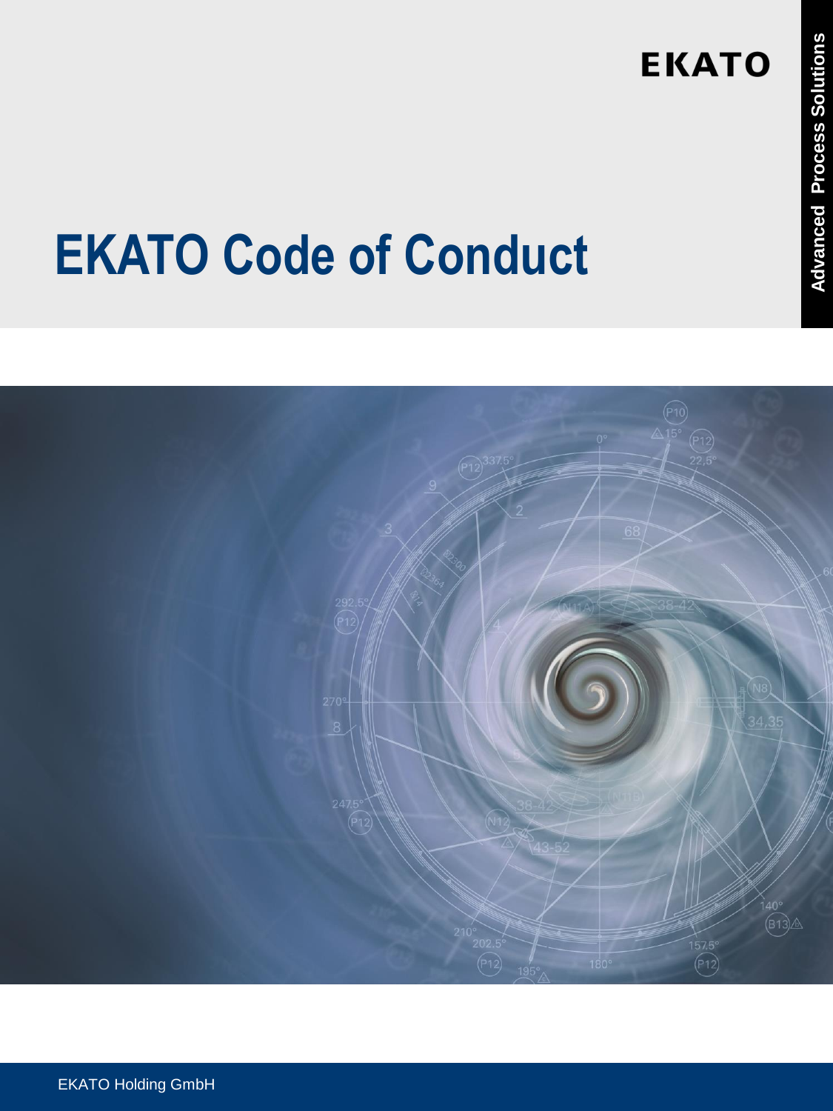## **EKATO Code of Conduct**

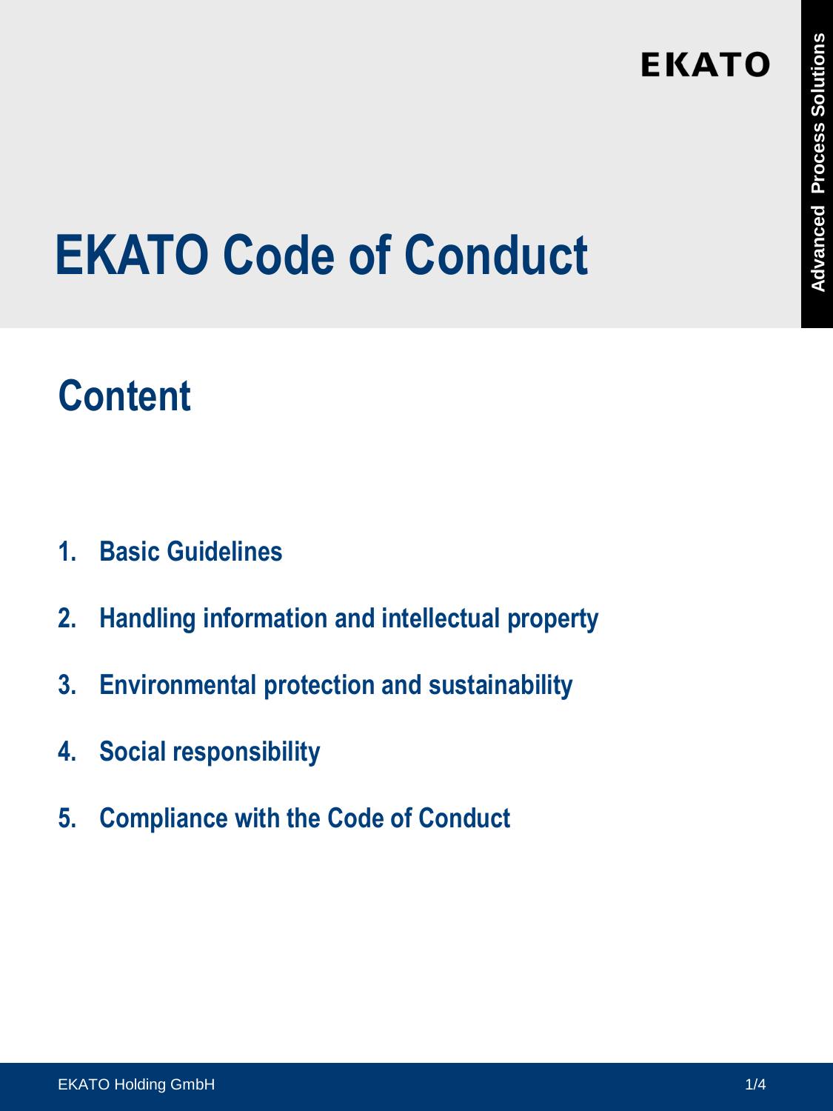## **EKATO Code of Conduct**

## **Content**

- **1. Basic Guidelines**
- **2. Handling information and intellectual property**
- **3. Environmental protection and sustainability**
- **4. Social responsibility**
- **5. Compliance with the Code of Conduct**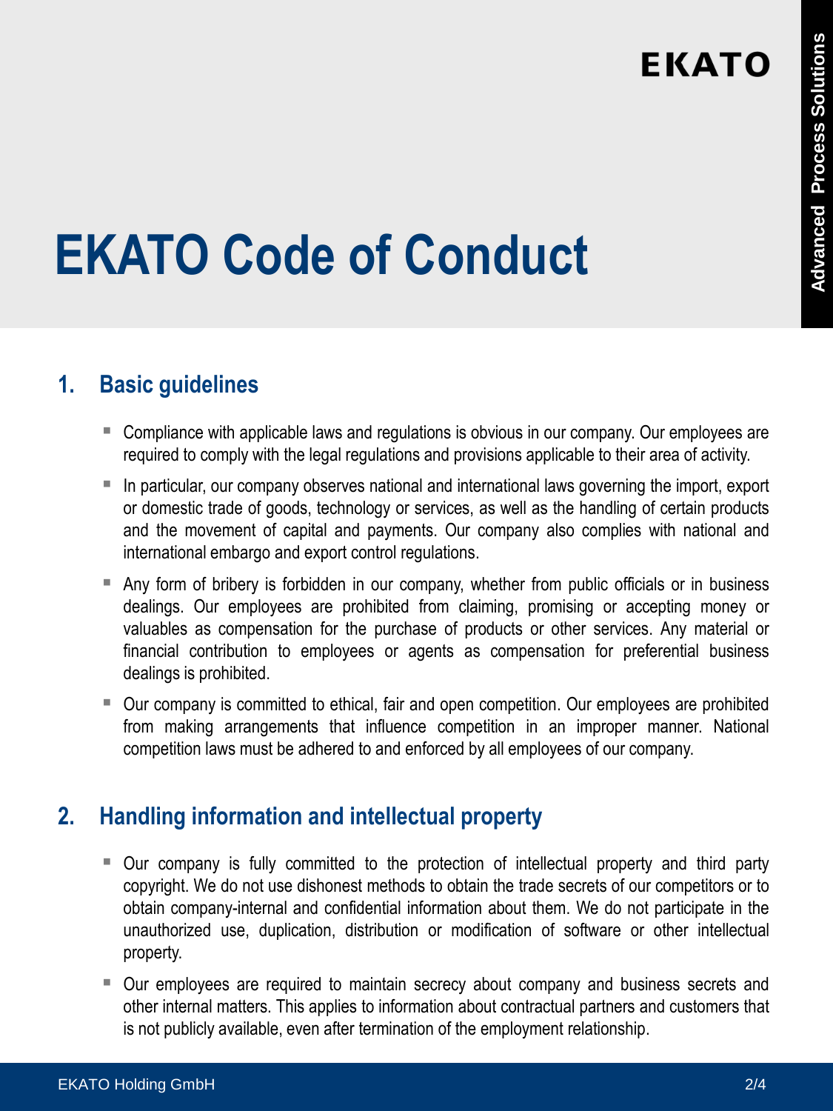## **EKATO Code of Conduct**

#### **1. Basic guidelines**

- Compliance with applicable laws and regulations is obvious in our company. Our employees are required to comply with the legal regulations and provisions applicable to their area of activity.
- In particular, our company observes national and international laws governing the import, export or domestic trade of goods, technology or services, as well as the handling of certain products and the movement of capital and payments. Our company also complies with national and international embargo and export control regulations.
- Any form of bribery is forbidden in our company, whether from public officials or in business dealings. Our employees are prohibited from claiming, promising or accepting money or valuables as compensation for the purchase of products or other services. Any material or financial contribution to employees or agents as compensation for preferential business dealings is prohibited.
- Our company is committed to ethical, fair and open competition. Our employees are prohibited from making arrangements that influence competition in an improper manner. National competition laws must be adhered to and enforced by all employees of our company.

#### **2. Handling information and intellectual property**

- Our company is fully committed to the protection of intellectual property and third party copyright. We do not use dishonest methods to obtain the trade secrets of our competitors or to obtain company-internal and confidential information about them. We do not participate in the unauthorized use, duplication, distribution or modification of software or other intellectual property.
- Our employees are required to maintain secrecy about company and business secrets and other internal matters. This applies to information about contractual partners and customers that is not publicly available, even after termination of the employment relationship.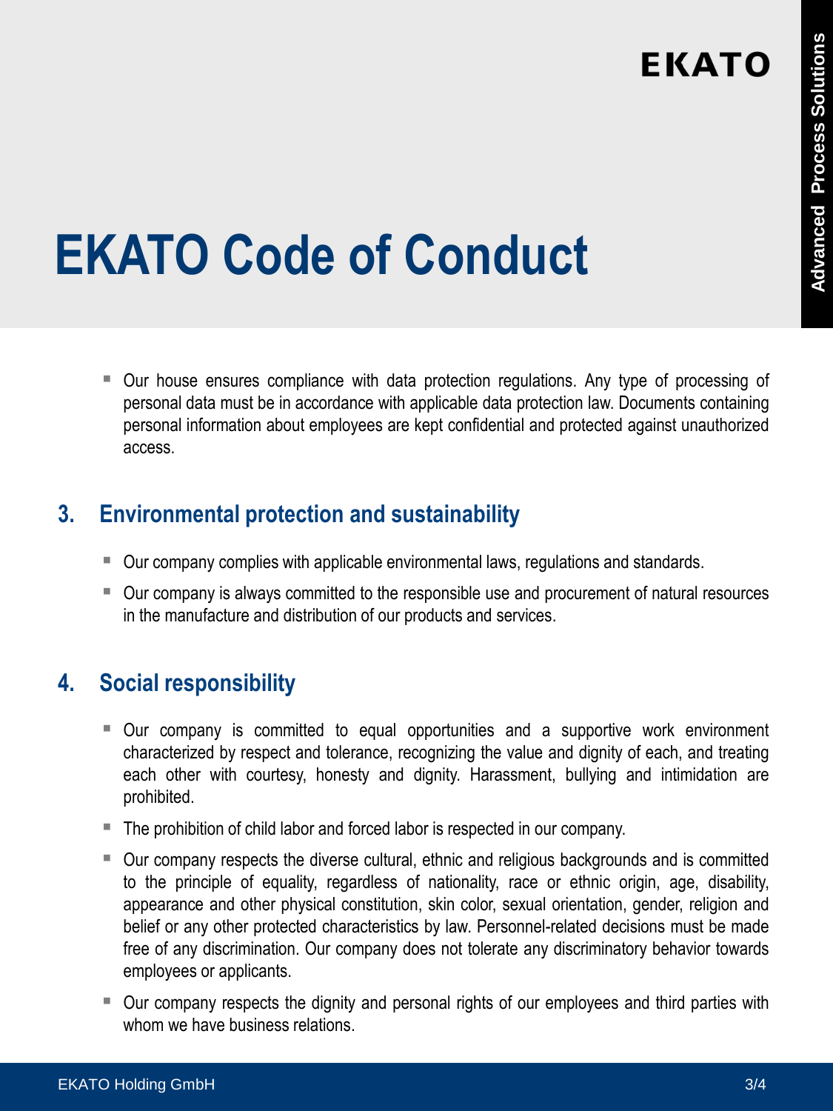# **EKATO Code of Conduct**

 Our house ensures compliance with data protection regulations. Any type of processing of personal data must be in accordance with applicable data protection law. Documents containing personal information about employees are kept confidential and protected against unauthorized access.

#### **3. Environmental protection and sustainability**

- Our company complies with applicable environmental laws, regulations and standards.
- Our company is always committed to the responsible use and procurement of natural resources in the manufacture and distribution of our products and services.

#### **4. Social responsibility**

- Our company is committed to equal opportunities and a supportive work environment characterized by respect and tolerance, recognizing the value and dignity of each, and treating each other with courtesy, honesty and dignity. Harassment, bullying and intimidation are prohibited.
- The prohibition of child labor and forced labor is respected in our company.
- Our company respects the diverse cultural, ethnic and religious backgrounds and is committed to the principle of equality, regardless of nationality, race or ethnic origin, age, disability, appearance and other physical constitution, skin color, sexual orientation, gender, religion and belief or any other protected characteristics by law. Personnel-related decisions must be made free of any discrimination. Our company does not tolerate any discriminatory behavior towards employees or applicants.
- Our company respects the dignity and personal rights of our employees and third parties with whom we have business relations.